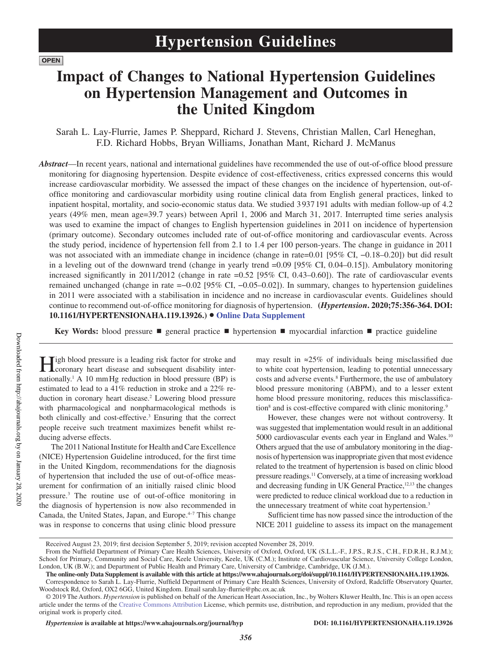# **Impact of Changes to National Hypertension Guidelines on Hypertension Management and Outcomes in the United Kingdom**

Sarah L. Lay-Flurrie, James P. Sheppard, Richard J. Stevens, Christian Mallen, Carl Heneghan, F.D. Richard Hobbs, Bryan Williams, Jonathan Mant, Richard J. McManus

*Abstract*—In recent years, national and international guidelines have recommended the use of out-of-office blood pressure monitoring for diagnosing hypertension. Despite evidence of cost-effectiveness, critics expressed concerns this would increase cardiovascular morbidity. We assessed the impact of these changes on the incidence of hypertension, out-ofoffice monitoring and cardiovascular morbidity using routine clinical data from English general practices, linked to inpatient hospital, mortality, and socio-economic status data. We studied 3 937 191 adults with median follow-up of 4.2 years (49% men, mean age=39.7 years) between April 1, 2006 and March 31, 2017. Interrupted time series analysis was used to examine the impact of changes to English hypertension guidelines in 2011 on incidence of hypertension (primary outcome). Secondary outcomes included rate of out-of-office monitoring and cardiovascular events. Across the study period, incidence of hypertension fell from 2.1 to 1.4 per 100 person-years. The change in guidance in 2011 was not associated with an immediate change in incidence (change in rate=0.01 [95% CI, −0.18–0.20]) but did result in a leveling out of the downward trend (change in yearly trend =0.09 [95% CI, 0.04–0.15]). Ambulatory monitoring increased significantly in 2011/2012 (change in rate =0.52 [95% CI, 0.43–0.60]). The rate of cardiovascular events remained unchanged (change in rate =−0.02 [95% CI, −0.05–0.02]). In summary, changes to hypertension guidelines in 2011 were associated with a stabilisation in incidence and no increase in cardiovascular events. Guidelines should continue to recommend out-of-office monitoring for diagnosis of hypertension. **(***Hypertension***. 2020;75:356-364. DOI: 10.1161/HYPERTENSIONAHA.119.13926.)**• **Online Data Supplement**

**Key Words:** blood pressure ■ general practice ■ hypertension ■ myocardial infarction ■ practice guideline

 $\mathbf{T}$ igh blood pressure is a leading risk factor for stroke and coronary heart disease and subsequent disability internationally.<sup>1</sup> A 10 mm Hg reduction in blood pressure (BP) is estimated to lead to a 41% reduction in stroke and a 22% reduction in coronary heart disease.<sup>2</sup> Lowering blood pressure with pharmacological and nonpharmacological methods is both clinically and cost-effective.<sup>3</sup> Ensuring that the correct people receive such treatment maximizes benefit whilst reducing adverse effects.

The 2011 National Institute for Health and Care Excellence (NICE) Hypertension Guideline introduced, for the first time in the United Kingdom, recommendations for the diagnosis of hypertension that included the use of out-of-office measurement for confirmation of an initially raised clinic blood pressure.3 The routine use of out-of-office monitoring in the diagnosis of hypertension is now also recommended in Canada, the United States, Japan, and Europe.<sup>4-7</sup> This change was in response to concerns that using clinic blood pressure

may result in ≈25% of individuals being misclassified due to white coat hypertension, leading to potential unnecessary costs and adverse events.<sup>8</sup> Furthermore, the use of ambulatory blood pressure monitoring (ABPM), and to a lesser extent home blood pressure monitoring, reduces this misclassification<sup>8</sup> and is cost-effective compared with clinic monitoring.<sup>9</sup>

However, these changes were not without controversy. It was suggested that implementation would result in an additional 5000 cardiovascular events each year in England and Wales.<sup>10</sup> Others argued that the use of ambulatory monitoring in the diagnosis of hypertension was inappropriate given that most evidence related to the treatment of hypertension is based on clinic blood pressure readings.11 Conversely, at a time of increasing workload and decreasing funding in UK General Practice,<sup>12,13</sup> the changes were predicted to reduce clinical workload due to a reduction in the unnecessary treatment of white coat hypertension.3

Sufficient time has now passed since the introduction of the NICE 2011 guideline to assess its impact on the management

Received August 23, 2019; first decision September 5, 2019; revision accepted November 28, 2019.

From the Nuffield Department of Primary Care Health Sciences, University of Oxford, Oxford, UK (S.L.L.-F., J.P.S., R.J.S., C.H., F.D.R.H., R.J.M.); School for Primary, Community and Social Care, Keele University, Keele, UK (C.M.); Institute of Cardiovascular Science, University College London, London, UK (B.W.); and Department of Public Health and Primary Care, University of Cambridge, Cambridge, UK (J.M.).

**The online-only Data Supplement is available with this article at https://www.ahajournals.org/doi/suppl/10.1161/HYPERTENSIONAHA.119.13926.** Correspondence to Sarah L. Lay-Flurrie, Nuffield Department of Primary Care Health Sciences, University of Oxford, Radcliffe Observatory Quarter, Woodstock Rd, Oxford, OX2 6GG, United Kingdom. Email [sarah.lay-flurrie@phc.ox.ac.uk](mailto:sarah.lay-flurrie@phc.ox.ac.uk)

<sup>© 2019</sup> The Authors. *Hypertension* is published on behalf of the American Heart Association, Inc., by Wolters Kluwer Health, Inc. This is an open access article under the terms of the Creative Commons Attribution License, which permits use, distribution, and reproduction in any medium, provided that the original work is properly cited.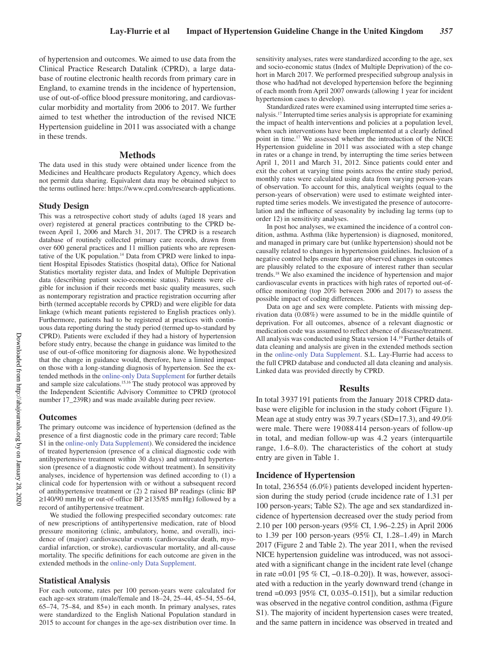of hypertension and outcomes. We aimed to use data from the Clinical Practice Research Datalink (CPRD), a large database of routine electronic health records from primary care in England, to examine trends in the incidence of hypertension, use of out-of-office blood pressure monitoring, and cardiovascular morbidity and mortality from 2006 to 2017. We further aimed to test whether the introduction of the revised NICE Hypertension guideline in 2011 was associated with a change in these trends.

#### **Methods**

The data used in this study were obtained under licence from the Medicines and Healthcare products Regulatory Agency, which does not permit data sharing. Equivalent data may be obtained subject to the terms outlined here: https://www.cprd.com/research-applications.

# **Study Design**

This was a retrospective cohort study of adults (aged 18 years and over) registered at general practices contributing to the CPRD between April 1, 2006 and March 31, 2017. The CPRD is a research database of routinely collected primary care records, drawn from over 600 general practices and 11 million patients who are representative of the UK population.14 Data from CPRD were linked to inpatient Hospital Episodes Statistics (hospital data), Office for National Statistics mortality register data, and Index of Multiple Deprivation data (describing patient socio-economic status). Patients were eligible for inclusion if their records met basic quality measures, such as nontemporary registration and practice registration occurring after birth (termed acceptable records by CPRD) and were eligible for data linkage (which meant patients registered to English practices only). Furthermore, patients had to be registered at practices with continuous data reporting during the study period (termed up-to-standard by CPRD). Patients were excluded if they had a history of hypertension before study entry, because the change in guidance was limited to the use of out-of-office monitoring for diagnosis alone. We hypothesized that the change in guidance would, therefore, have a limited impact on those with a long-standing diagnosis of hypertension. See the extended methods in the online-only Data Supplement for further details and sample size calculations.15,16 The study protocol was approved by the Independent Scientific Advisory Committee to CPRD (protocol number 17\_239R) and was made available during peer review.

#### **Outcomes**

The primary outcome was incidence of hypertension (defined as the presence of a first diagnostic code in the primary care record; Table S1 in the online-only Data Supplement). We considered the incidence of treated hypertension (presence of a clinical diagnostic code with antihypertensive treatment within 30 days) and untreated hypertension (presence of a diagnostic code without treatment). In sensitivity analyses, incidence of hypertension was defined according to (1) a clinical code for hypertension with or without a subsequent record of antihypertensive treatment or (2) 2 raised BP readings (clinic BP ≥140/90 mmHg or out-of-office BP ≥135/85 mmHg) followed by a record of antihypertensive treatment.

We studied the following prespecified secondary outcomes: rate of new prescriptions of antihypertensive medication, rate of blood pressure monitoring (clinic, ambulatory, home, and overall), incidence of (major) cardiovascular events (cardiovascular death, myocardial infarction, or stroke), cardiovascular mortality, and all-cause mortality. The specific definitions for each outcome are given in the extended methods in the online-only Data Supplement.

#### **Statistical Analysis**

For each outcome, rates per 100 person-years were calculated for each age-sex stratum (male/female and 18–24, 25–44, 45–54, 55–64, 65–74, 75–84, and 85+) in each month. In primary analyses, rates were standardized to the English National Population standard in 2015 to account for changes in the age-sex distribution over time. In sensitivity analyses, rates were standardized according to the age, sex and socio-economic status (Index of Multiple Deprivation) of the cohort in March 2017. We performed prespecified subgroup analysis in those who had/had not developed hypertension before the beginning of each month from April 2007 onwards (allowing 1 year for incident hypertension cases to develop).

Standardized rates were examined using interrupted time series analysis.17 Interrupted time series analysis is appropriate for examining the impact of health interventions and policies at a population level, when such interventions have been implemented at a clearly defined point in time.17 We assessed whether the introduction of the NICE Hypertension guideline in 2011 was associated with a step change in rates or a change in trend, by interrupting the time series between April 1, 2011 and March 31, 2012. Since patients could enter and exit the cohort at varying time points across the entire study period, monthly rates were calculated using data from varying person-years of observation. To account for this, analytical weights (equal to the person-years of observation) were used to estimate weighted interrupted time series models. We investigated the presence of autocorrelation and the influence of seasonality by including lag terms (up to order 12) in sensitivity analyses.

In post hoc analyses, we examined the incidence of a control condition, asthma. Asthma (like hypertension) is diagnosed, monitored, and managed in primary care but (unlike hypertension) should not be causally related to changes in hypertension guidelines. Inclusion of a negative control helps ensure that any observed changes in outcomes are plausibly related to the exposure of interest rather than secular trends.18 We also examined the incidence of hypertension and major cardiovascular events in practices with high rates of reported out-ofoffice monitoring (top 20% between 2006 and 2017) to assess the possible impact of coding differences.

Data on age and sex were complete. Patients with missing deprivation data (0.08%) were assumed to be in the middle quintile of deprivation. For all outcomes, absence of a relevant diagnostic or medication code was assumed to reflect absence of disease/treatment. All analysis was conducted using Stata version 14.19 Further details of data cleaning and analysis are given in the extended methods section in the online-only Data Supplement. S.L. Lay-Flurrie had access to the full CPRD database and conducted all data cleaning and analysis. Linked data was provided directly by CPRD.

#### **Results**

In total 3 937191 patients from the January 2018 CPRD database were eligible for inclusion in the study cohort (Figure 1). Mean age at study entry was 39.7 years (SD=17.3), and 49.0% were male. There were 19088 414 person-years of follow-up in total, and median follow-up was 4.2 years (interquartile range, 1.6–8.0). The characteristics of the cohort at study entry are given in Table 1.

#### **Incidence of Hypertension**

In total, 236554 (6.0%) patients developed incident hypertension during the study period (crude incidence rate of 1.31 per 100 person-years; Table S2). The age and sex standardized incidence of hypertension decreased over the study period from 2.10 per 100 person-years (95% CI, 1.96–2.25) in April 2006 to 1.39 per 100 person-years (95% CI, 1.28–1.49) in March 2017 (Figure 2 and Table 2). The year 2011, when the revised NICE hypertension guideline was introduced, was not associated with a significant change in the incident rate level (change in rate =0.01 [95 % CI, −0.18–0.20]). It was, however, associated with a reduction in the yearly downward trend (change in trend =0.093 [95% CI, 0.035–0.151]), but a similar reduction was observed in the negative control condition, asthma (Figure S1). The majority of incident hypertension cases were treated, and the same pattern in incidence was observed in treated and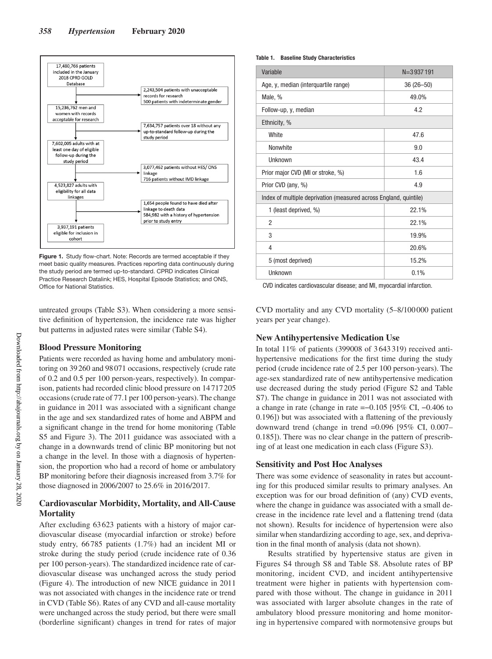

**Figure 1.** Study flow-chart. Note: Records are termed acceptable if they meet basic quality measures. Practices reporting data continuously during the study period are termed up-to-standard. CPRD indicates Clinical Practice Research Datalink; HES, Hospital Episode Statistics; and ONS, Office for National Statistics.

untreated groups (Table S3). When considering a more sensitive definition of hypertension, the incidence rate was higher but patterns in adjusted rates were similar (Table S4).

# **Blood Pressure Monitoring**

Patients were recorded as having home and ambulatory monitoring on 39260 and 98071 occasions, respectively (crude rate of 0.2 and 0.5 per 100 person-years, respectively). In comparison, patients had recorded clinic blood pressure on 14717205 occasions (crude rate of 77.1 per 100 person-years). The change in guidance in 2011 was associated with a significant change in the age and sex standardized rates of home and ABPM and a significant change in the trend for home monitoring (Table S5 and Figure 3). The 2011 guidance was associated with a change in a downwards trend of clinic BP monitoring but not a change in the level. In those with a diagnosis of hypertension, the proportion who had a record of home or ambulatory BP monitoring before their diagnosis increased from 3.7% for those diagnosed in 2006/2007 to 25.6% in 2016/2017.

# **Cardiovascular Morbidity, Mortality, and All-Cause Mortality**

After excluding 63623 patients with a history of major cardiovascular disease (myocardial infarction or stroke) before study entry, 66785 patients (1.7%) had an incident MI or stroke during the study period (crude incidence rate of 0.36 per 100 person-years). The standardized incidence rate of cardiovascular disease was unchanged across the study period (Figure 4). The introduction of new NICE guidance in 2011 was not associated with changes in the incidence rate or trend in CVD (Table S6). Rates of any CVD and all-cause mortality were unchanged across the study period, but there were small (borderline significant) changes in trend for rates of major

#### **Table 1. Baseline Study Characteristics**

| Variable                                                          | $N = 3937191$ |  |  |
|-------------------------------------------------------------------|---------------|--|--|
| Age, y, median (interquartile range)                              | $36(26 - 50)$ |  |  |
| Male, %                                                           | 49.0%         |  |  |
| Follow-up, y, median                                              | 4.2           |  |  |
| Ethnicity, %                                                      |               |  |  |
| White                                                             | 47.6          |  |  |
| <b>Nonwhite</b>                                                   | 9.0           |  |  |
| Unknown                                                           | 43.4          |  |  |
| Prior major CVD (MI or stroke, %)                                 | 1.6           |  |  |
| Prior CVD (any, %)                                                | 4.9           |  |  |
| Index of multiple deprivation (measured across England, quintile) |               |  |  |
| 1 (least deprived, %)                                             | 22.1%         |  |  |
| $\overline{2}$                                                    | 22.1%         |  |  |
| 3                                                                 | 19.9%         |  |  |
| 4                                                                 | 20.6%         |  |  |
| 5 (most deprived)                                                 | 15.2%         |  |  |
| Unknown                                                           | 0.1%          |  |  |

CVD indicates cardiovascular disease; and MI, myocardial infarction.

CVD mortality and any CVD mortality (5–8/100000 patient years per year change).

# **New Antihypertensive Medication Use**

In total 11% of patients (399008 of 3643319) received antihypertensive medications for the first time during the study period (crude incidence rate of 2.5 per 100 person-years). The age-sex standardized rate of new antihypertensive medication use decreased during the study period (Figure S2 and Table S7). The change in guidance in 2011 was not associated with a change in rate (change in rate =−0.105 [95% CI, −0.406 to 0.196]) but was associated with a flattening of the previously downward trend (change in trend =0.096 [95% CI, 0.007– 0.185]). There was no clear change in the pattern of prescribing of at least one medication in each class (Figure S3).

#### **Sensitivity and Post Hoc Analyses**

There was some evidence of seasonality in rates but accounting for this produced similar results to primary analyses. An exception was for our broad definition of (any) CVD events, where the change in guidance was associated with a small decrease in the incidence rate level and a flattening trend (data not shown). Results for incidence of hypertension were also similar when standardizing according to age, sex, and deprivation in the final month of analysis (data not shown).

Results stratified by hypertensive status are given in Figures S4 through S8 and Table S8. Absolute rates of BP monitoring, incident CVD, and incident antihypertensive treatment were higher in patients with hypertension compared with those without. The change in guidance in 2011 was associated with larger absolute changes in the rate of ambulatory blood pressure monitoring and home monitoring in hypertensive compared with normotensive groups but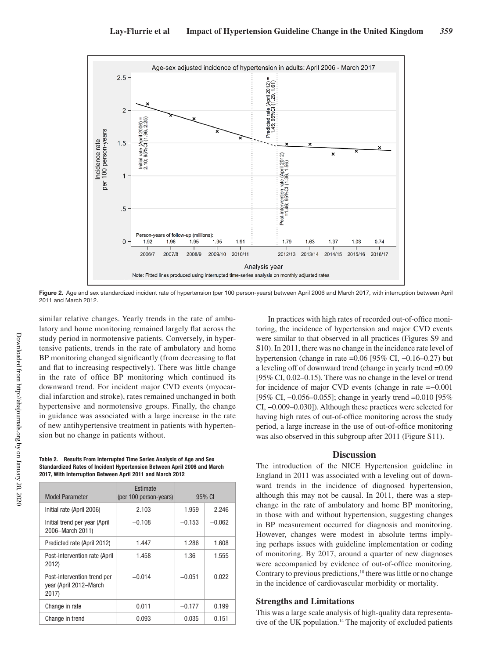

**Figure 2.** Age and sex standardized incident rate of hypertension (per 100 person-years) between April 2006 and March 2017, with interruption between April 2011 and March 2012.

similar relative changes. Yearly trends in the rate of ambulatory and home monitoring remained largely flat across the study period in normotensive patients. Conversely, in hypertensive patients, trends in the rate of ambulatory and home BP monitoring changed significantly (from decreasing to flat and flat to increasing respectively). There was little change in the rate of office BP monitoring which continued its downward trend. For incident major CVD events (myocardial infarction and stroke), rates remained unchanged in both hypertensive and normotensive groups. Finally, the change in guidance was associated with a large increase in the rate of new antihypertensive treatment in patients with hypertension but no change in patients without.

**Table 2. Results From Interrupted Time Series Analysis of Age and Sex Standardized Rates of Incident Hypertension Between April 2006 and March 2017, With Interruption Between April 2011 and March 2012**

| <b>Model Parameter</b>                                         | Estimate<br>(per 100 person-years) | 95% CI   |          |
|----------------------------------------------------------------|------------------------------------|----------|----------|
| Initial rate (April 2006)                                      | 2.103                              | 1.959    | 2.246    |
| Initial trend per year (April)<br>2006-March 2011)             | $-0.108$                           | $-0.153$ | $-0.062$ |
| Predicted rate (April 2012)                                    | 1.447                              | 1.286    | 1.608    |
| Post-intervention rate (April<br>2012)                         | 1.458                              | 1.36     | 1.555    |
| Post-intervention trend per<br>year (April 2012–March<br>2017) | $-0.014$                           | $-0.051$ | 0.022    |
| Change in rate                                                 | 0.011                              | $-0.177$ | 0.199    |
| Change in trend                                                | 0.093                              | 0.035    | 0.151    |

In practices with high rates of recorded out-of-office monitoring, the incidence of hypertension and major CVD events were similar to that observed in all practices (Figures S9 and S10). In 2011, there was no change in the incidence rate level of hypertension (change in rate =0.06 [95% CI, −0.16–0.27) but a leveling off of downward trend (change in yearly trend =0.09 [95% CI, 0.02–0.15). There was no change in the level or trend for incidence of major CVD events (change in rate =−0.001 [95% CI, -0.056–0.055]; change in yearly trend =0.010 [95% CI, −0.009–0.030]). Although these practices were selected for having high rates of out-of-office monitoring across the study period, a large increase in the use of out-of-office monitoring was also observed in this subgroup after 2011 (Figure S11).

#### **Discussion**

The introduction of the NICE Hypertension guideline in England in 2011 was associated with a leveling out of downward trends in the incidence of diagnosed hypertension, although this may not be causal. In 2011, there was a stepchange in the rate of ambulatory and home BP monitoring, in those with and without hypertension, suggesting changes in BP measurement occurred for diagnosis and monitoring. However, changes were modest in absolute terms implying perhaps issues with guideline implementation or coding of monitoring. By 2017, around a quarter of new diagnoses were accompanied by evidence of out-of-office monitoring. Contrary to previous predictions,<sup>10</sup> there was little or no change in the incidence of cardiovascular morbidity or mortality.

## **Strengths and Limitations**

This was a large scale analysis of high-quality data representative of the UK population.<sup>14</sup> The majority of excluded patients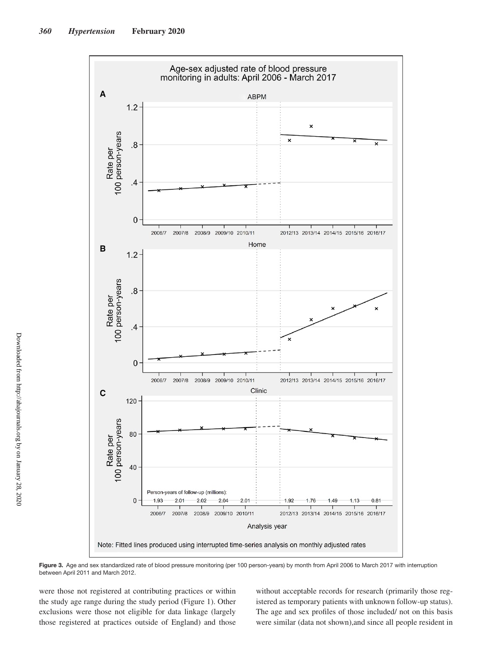

**Figure 3.** Age and sex standardized rate of blood pressure monitoring (per 100 person-years) by month from April 2006 to March 2017 with interruption between April 2011 and March 2012.

were those not registered at contributing practices or within the study age range during the study period (Figure 1). Other exclusions were those not eligible for data linkage (largely those registered at practices outside of England) and those without acceptable records for research (primarily those registered as temporary patients with unknown follow-up status). The age and sex profiles of those included/ not on this basis were similar (data not shown),and since all people resident in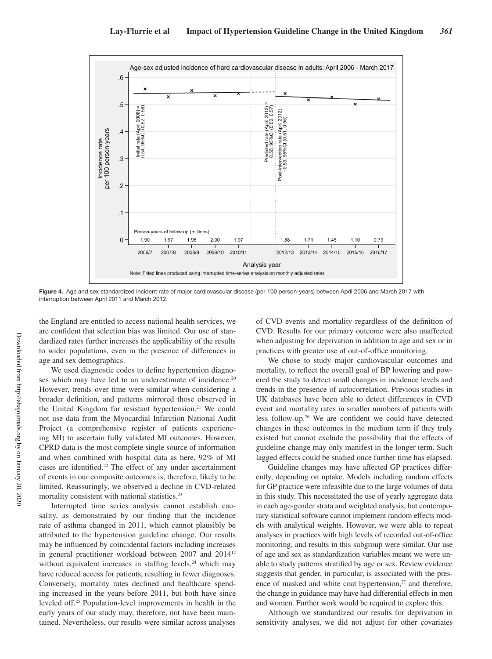

Figure 4. Age and sex standardized incident rate of major cardiovascular disease (per 100 person-years) between April 2006 and March 2017 with interruption between April 2011 and March 2012.

the England are entitled to access national health services, we are confident that selection bias was limited. Our use of standardized rates further increases the applicability of the results to wider populations, even in the presence of differences in age and sex demographics.

We used diagnostic codes to define hypertension diagnoses which may have led to an underestimate of incidence.<sup>20</sup> However, trends over time were similar when considering a broader definition, and patterns mirrored those observed in the United Kingdom for resistant hypertension.<sup>21</sup> We could not use data from the Myocardial Infarction National Audit Project (a comprehensive register of patients experiencing MI) to ascertain fully validated MI outcomes. However, CPRD data is the most complete single source of information and when combined with hospital data as here, 92% of MI cases are identified.<sup>22</sup> The effect of any under ascertainment of events in our composite outcomes is, therefore, likely to be limited. Reassuringly, we observed a decline in CVD-related mortality consistent with national statistics.<sup>23</sup>

Interrupted time series analysis cannot establish causality, as demonstrated by our finding that the incidence rate of asthma changed in 2011, which cannot plausibly be attributed to the hypertension guideline change. Our results may be influenced by coincidental factors including increases in general practitioner workload between 2007 and 201412 without equivalent increases in staffing levels, $^{24}$  which may have reduced access for patients, resulting in fewer diagnoses. Conversely, mortality rates declined and healthcare spending increased in the years before 2011, but both have since leveled off.25 Population-level improvements in health in the early years of our study may, therefore, not have been maintained. Nevertheless, our results were similar across analyses of CVD events and mortality regardless of the definition of CVD. Results for our primary outcome were also unaffected when adjusting for deprivation in addition to age and sex or in practices with greater use of out-of-office monitoring.

We chose to study major cardiovascular outcomes and mortality, to reflect the overall goal of BP lowering and powered the study to detect small changes in incidence levels and trends in the presence of autocorrelation. Previous studies in UK databases have been able to detect differences in CVD event and mortality rates in smaller numbers of patients with less follow-up.26 We are confident we could have detected changes in these outcomes in the medium term if they truly existed but cannot exclude the possibility that the effects of guideline change may only manifest in the longer term. Such lagged effects could be studied once further time has elapsed.

Guideline changes may have affected GP practices differently, depending on uptake. Models including random effects for GP practice were infeasible due to the large volumes of data in this study. This necessitated the use of yearly aggregate data in each age-gender strata and weighted analysis, but contemporary statistical software cannot implement random effects models with analytical weights. However, we were able to repeat analyses in practices with high levels of recorded out-of-office monitoring, and results in this subgroup were similar. Our use of age and sex as standardization variables meant we were unable to study patterns stratified by age or sex. Review evidence suggests that gender, in particular, is associated with the presence of masked and white coat hypertension,<sup>27</sup> and therefore, the change in guidance may have had differential effects in men and women. Further work would be required to explore this.

Although we standardized our results for deprivation in sensitivity analyses, we did not adjust for other covariates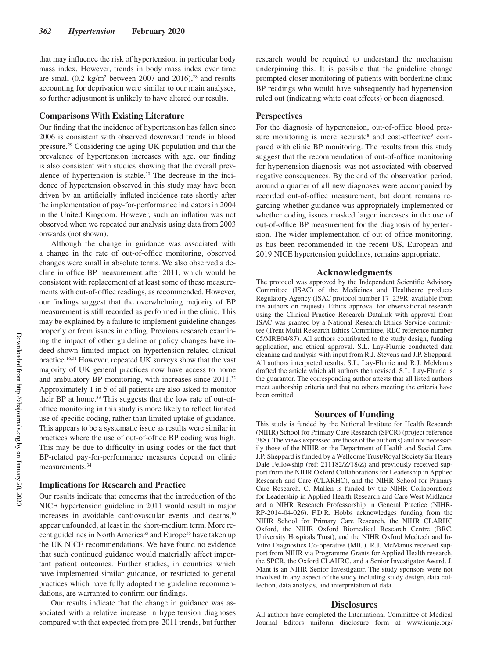that may influence the risk of hypertension, in particular body mass index. However, trends in body mass index over time are small  $(0.2 \text{ kg/m}^2)$  between 2007 and 2016),<sup>28</sup> and results accounting for deprivation were similar to our main analyses, so further adjustment is unlikely to have altered our results.

# **Comparisons With Existing Literature**

Our finding that the incidence of hypertension has fallen since 2006 is consistent with observed downward trends in blood pressure.29 Considering the aging UK population and that the prevalence of hypertension increases with age, our finding is also consistent with studies showing that the overall prevalence of hypertension is stable.<sup>30</sup> The decrease in the incidence of hypertension observed in this study may have been driven by an artificially inflated incidence rate shortly after the implementation of pay-for-performance indicators in 2004 in the United Kingdom. However, such an inflation was not observed when we repeated our analysis using data from 2003 onwards (not shown).

Although the change in guidance was associated with a change in the rate of out-of-office monitoring, observed changes were small in absolute terms. We also observed a decline in office BP measurement after 2011, which would be consistent with replacement of at least some of these measurements with out-of-office readings, as recommended. However, our findings suggest that the overwhelming majority of BP measurement is still recorded as performed in the clinic. This may be explained by a failure to implement guideline changes properly or from issues in coding. Previous research examining the impact of other guideline or policy changes have indeed shown limited impact on hypertension-related clinical practice.16,31 However, repeated UK surveys show that the vast majority of UK general practices now have access to home and ambulatory BP monitoring, with increases since 2011.32 Approximately 1 in 5 of all patients are also asked to monitor their BP at home.<sup>33</sup> This suggests that the low rate of out-ofoffice monitoring in this study is more likely to reflect limited use of specific coding, rather than limited uptake of guidance. This appears to be a systematic issue as results were similar in practices where the use of out-of-office BP coding was high. This may be due to difficulty in using codes or the fact that BP-related pay-for-performance measures depend on clinic measurements.34

# **Implications for Research and Practice**

Our results indicate that concerns that the introduction of the NICE hypertension guideline in 2011 would result in major increases in avoidable cardiovascular events and deaths,<sup>10</sup> appear unfounded, at least in the short-medium term. More recent guidelines in North America<sup>35</sup> and Europe<sup>36</sup> have taken up the UK NICE recommendations. We have found no evidence that such continued guidance would materially affect important patient outcomes. Further studies, in countries which have implemented similar guidance, or restricted to general practices which have fully adopted the guideline recommendations, are warranted to confirm our findings.

Our results indicate that the change in guidance was associated with a relative increase in hypertension diagnoses compared with that expected from pre-2011 trends, but further research would be required to understand the mechanism underpinning this. It is possible that the guideline change prompted closer monitoring of patients with borderline clinic BP readings who would have subsequently had hypertension ruled out (indicating white coat effects) or been diagnosed.

# **Perspectives**

For the diagnosis of hypertension, out-of-office blood pressure monitoring is more accurate<sup>8</sup> and cost-effective<sup>9</sup> compared with clinic BP monitoring. The results from this study suggest that the recommendation of out-of-office monitoring for hypertension diagnosis was not associated with observed negative consequences. By the end of the observation period, around a quarter of all new diagnoses were accompanied by recorded out-of-office measurement, but doubt remains regarding whether guidance was appropriately implemented or whether coding issues masked larger increases in the use of out-of-office BP measurement for the diagnosis of hypertension. The wider implementation of out-of-office monitoring, as has been recommended in the recent US, European and 2019 NICE hypertension guidelines, remains appropriate.

# **Acknowledgments**

The protocol was approved by the Independent Scientific Advisory Committee (ISAC) of the Medicines and Healthcare products Regulatory Agency (ISAC protocol number 17\_239R; available from the authors on request). Ethics approval for observational research using the Clinical Practice Research Datalink with approval from ISAC was granted by a National Research Ethics Service committee (Trent Multi Research Ethics Committee, REC reference number 05/MRE04/87). All authors contributed to the study design, funding application, and ethical approval. S.L. Lay-Flurrie conducted data cleaning and analysis with input from R.J. Stevens and J.P. Sheppard. All authors interpreted results. S.L. Lay-Flurrie and R.J. McManus drafted the article which all authors then revised. S.L. Lay-Flurrie is the guarantor. The corresponding author attests that all listed authors meet authorship criteria and that no others meeting the criteria have been omitted.

#### **Sources of Funding**

This study is funded by the National Institute for Health Research (NIHR) School for Primary Care Research (SPCR) (project reference 388). The views expressed are those of the author(s) and not necessarily those of the NIHR or the Department of Health and Social Care. J.P. Sheppard is funded by a Wellcome Trust/Royal Society Sir Henry Dale Fellowship (ref: 211182/Z/18/Z) and previously received support from the NIHR Oxford Collaborations for Leadership in Applied Research and Care (CLARHC), and the NIHR School for Primary Care Research. C. Mallen is funded by the NIHR Collaborations for Leadership in Applied Health Research and Care West Midlands and a NIHR Research Professorship in General Practice (NIHR-RP-2014-04-026). F.D.R. Hobbs acknowledges funding from the NIHR School for Primary Care Research, the NIHR CLARHC Oxford, the NIHR Oxford Biomedical Research Centre (BRC, University Hospitals Trust), and the NIHR Oxford Medtech and In-Vitro Diagnostics Co-operative (MIC). R.J. McManus received support from NIHR via Programme Grants for Applied Health research, the SPCR, the Oxford CLAHRC, and a Senior Investigator Award. J. Mant is an NIHR Senior Investigator. The study sponsors were not involved in any aspect of the study including study design, data collection, data analysis, and interpretation of data.

#### **Disclosures**

All authors have completed the International Committee of Medical Journal Editors uniform disclosure form at www.icmje.org/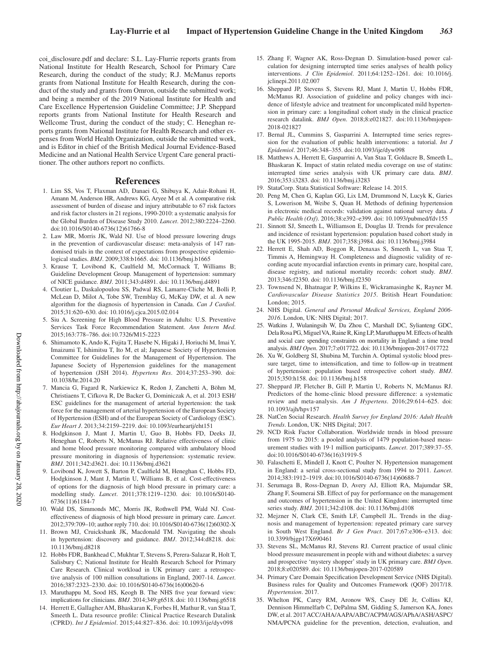coi\_disclosure.pdf and declare: S.L. Lay-Flurrie reports grants from National Institute for Health Research, School for Primary Care Research, during the conduct of the study; R.J. McManus reports grants from National Institute for Health Research, during the conduct of the study and grants from Omron, outside the submitted work; and being a member of the 2019 National Institute for Health and Care Excellence Hypertension Guideline Committee; J.P. Sheppard reports grants from National Institute for Health Research and Wellcome Trust, during the conduct of the study; C. Heneghan reports grants from National Institute for Health Research and other expenses from World Health Organization, outside the submitted work, and is Editor in chief of the British Medical Journal Evidence-Based Medicine and an National Health Service Urgent Care general practitioner. The other authors report no conflicts.

## **References**

- 1. Lim SS, Vos T, Flaxman AD, Danaei G, Shibuya K, Adair-Rohani H, Amann M, Anderson HR, Andrews KG, Aryee M et al. A comparative risk assessment of burden of disease and injury attributable to 67 risk factors and risk factor clusters in 21 regions, 1990-2010: a systematic analysis for the Global Burden of Disease Study 2010. *Lancet*. 2012;380:2224–2260. doi:10.1016/S0140-6736(12)61766-8
- 2. Law MR, Morris JK, Wald NJ. Use of blood pressure lowering drugs in the prevention of cardiovascular disease: meta-analysis of 147 randomised trials in the context of expectations from prospective epidemiological studies. *BMJ*. 2009;338:b1665. doi: 10.1136/bmj.b1665
- 3. Krause T, Lovibond K, Caulfield M, McCormack T, Williams B; Guideline Development Group. Management of hypertension: summary of NICE guidance. *BMJ*. 2011;343:d4891. doi: 10.1136/bmj.d4891
- 4. Cloutier L, Daskalopoulou SS, Padwal RS, Lamarre-Cliche M, Bolli P, McLean D, Milot A, Tobe SW, Tremblay G, McKay DW, et al. A new algorithm for the diagnosis of hypertension in Canada. *Can J Cardiol*. 2015;31:620–630. doi: 10.1016/j.cjca.2015.02.014
- 5. Siu A. Screening for High Blood Pressure in Adults: U.S. Preventive Services Task Force Recommendation Statement. *Ann Intern Med*. 2015;163:778–786. doi:10.7326/M15-2223
- 6. Shimamoto K, Ando K, Fujita T, Hasebe N, Higaki J, Horiuchi M, Imai Y, Imaizumi T, Ishimitsu T, Ito M, et al; Japanese Society of Hypertension Committee for Guidelines for the Management of Hypertension. The Japanese Society of Hypertension guidelines for the management of hypertension (JSH 2014). *Hypertens Res*. 2014;37:253–390. doi: 10.1038/hr.2014.20
- 7. Mancia G, Fagard R, Narkiewicz K, Redon J, Zanchetti A, Böhm M, Christiaens T, Cifkova R, De Backer G, Dominiczak A, et al. 2013 ESH/ ESC guidelines for the management of arterial hypertension: the task force for the management of arterial hypertension of the European Society of Hypertension (ESH) and of the European Society of Cardiology (ESC). *Eur Heart J*. 2013;34:2159–2219. doi: 10.1093/eurheartj/eht151
- 8. Hodgkinson J, Mant J, Martin U, Guo B, Hobbs FD, Deeks JJ, Heneghan C, Roberts N, McManus RJ. Relative effectiveness of clinic and home blood pressure monitoring compared with ambulatory blood pressure monitoring in diagnosis of hypertension: systematic review. *BMJ*. 2011;342:d3621. doi: 10.1136/bmj.d3621
- 9. Lovibond K, Jowett S, Barton P, Caulfield M, Heneghan C, Hobbs FD, Hodgkinson J, Mant J, Martin U, Williams B, et al. Cost-effectiveness of options for the diagnosis of high blood pressure in primary care: a modelling study. *Lancet*. 2011;378:1219–1230. doi: 10.1016/S0140- 6736(11)61184-7
- 10. Wald DS, Simmonds MC, Morris JK, Rothwell PM, Wald NJ. Costeffectiveness of diagnosis of high blood pressure in primary care. *Lancet*. 2012;379:709–10; author reply 710. doi: 10.1016/S0140-6736(12)60302-X
- 11. Brown MJ, Cruickshank JK, Macdonald TM. Navigating the shoals in hypertension: discovery and guidance. *BMJ*. 2012;344:d8218. doi: 10.1136/bmj.d8218
- 12. Hobbs FDR, Bankhead C, Mukhtar T, Stevens S, Perera-Salazar R, Holt T, Salisbury C; National Institute for Health Research School for Primary Care Research. Clinical workload in UK primary care: a retrospective analysis of 100 million consultations in England, 2007-14. *Lancet*. 2016;387:2323–2330. doi: 10.1016/S0140-6736(16)00620-6
- 13. Maruthappu M, Sood HS, Keogh B. The NHS five year forward view: implications for clinicians. *BMJ*. 2014;349:g6518. doi: 10.1136/bmj.g6518
- 14. Herrett E, Gallagher AM, Bhaskaran K, Forbes H, Mathur R, van Staa T, Smeeth L. Data resource profile: Clinical Practice Research Datalink (CPRD). *Int J Epidemiol*. 2015;44:827–836. doi: 10.1093/ije/dyv098
- 15. Zhang F, Wagner AK, Ross-Degnan D. Simulation-based power calculation for designing interrupted time series analyses of health policy interventions. *J Clin Epidemiol*. 2011;64:1252–1261. doi: 10.1016/j. jclinepi.2011.02.007
- 16. Sheppard JP, Stevens S, Stevens RJ, Mant J, Martin U, Hobbs FDR, McManus RJ. Association of guideline and policy changes with incidence of lifestyle advice and treatment for uncomplicated mild hypertension in primary care: a longitudinal cohort study in the clinical practice research datalink. *BMJ Open*. 2018;8:e021827. doi:10.1136/bmjopen-2018-021827
- 17. Bernal JL, Cummins S, Gasparrini A. Interrupted time series regression for the evaluation of public health interventions: a tutorial. *Int J Epidemiol*. 2017;46:348–355. doi:10.1093/ije/dyw098
- 18. Matthews A, Herrett E, Gasparrini A, Van Staa T, Goldacre B, Smeeth L, Bhaskaran K. Impact of statin related media coverage on use of statins: interrupted time series analysis with UK primary care data. *BMJ*. 2016;353:i3283. doi: 10.1136/bmj.i3283
- 19. StataCorp. Stata Statistical Software: Release 14. 2015.
- 20. Peng M, Chen G, Kaplan GG, Lix LM, Drummond N, Lucyk K, Garies S, Lowerison M, Weibe S, Quan H. Methods of defining hypertension in electronic medical records: validation against national survey data. *J Public Health (Oxf)*. 2016;38:e392–e399. doi: 10.1093/pubmed/fdv155
- 21. Sinnott SJ, Smeeth L, Williamson E, Douglas IJ. Trends for prevalence and incidence of resistant hypertension: population based cohort study in the UK 1995-2015. *BMJ*. 2017;358:j3984. doi: 10.1136/bmj.j3984
- 22. Herrett E, Shah AD, Boggon R, Denaxas S, Smeeth L, van Staa T, Timmis A, Hemingway H. Completeness and diagnostic validity of recording acute myocardial infarction events in primary care, hospital care, disease registry, and national mortality records: cohort study. *BMJ*. 2013;346:f2350. doi: 10.1136/bmj.f2350
- 23. Townsend N, Bhatnagar P, Wilkins E, Wickramasinghe K, Rayner M. *Cardiovascular Disease Statistics 2015*. British Heart Foundation: London; 2015.
- 24. NHS Digital. *General and Personal Medical Services, England 2006- 2016*. London, UK: NHS Digital; 2017.
- 25. Watkins J, Wulaningsih W, Da Zhou C, Marshall DC, Sylianteng GDC, Dela Rosa PG, Miguel VA, Raine R, King LP, Maruthappu M. Effects of health and social care spending constraints on mortality in England: a time trend analysis. *BMJ Open*. 2017;7:e017722. doi: 10.1136/bmjopen-2017-017722
- 26. Xu W, Goldberg SI, Shubina M, Turchin A. Optimal systolic blood pressure target, time to intensification, and time to follow-up in treatment of hypertension: population based retrospective cohort study. *BMJ*. 2015;350:h158. doi: 10.1136/bmj.h158
- 27. Sheppard JP, Fletcher B, Gill P, Martin U, Roberts N, McManus RJ. Predictors of the home-clinic blood pressure difference: a systematic review and meta-analysis. *Am J Hypertens*. 2016;29:614–625. doi: 10.1093/ajh/hpv157
- 28. NatCen Social Research. *Health Survey for England 2016: Adult Health Trends*. London, UK: NHS Digital; 2017.
- 29. NCD Risk Factor Collaboration. Worldwide trends in blood pressure from 1975 to 2015: a pooled analysis of 1479 population-based measurement studies with 19·1 million participants. *Lancet*. 2017;389:37–55. doi:10.1016/S0140-6736(16)31919-5
- 30. Falaschetti E, Mindell J, Knott C, Poulter N. Hypertension management in England: a serial cross-sectional study from 1994 to 2011. *Lancet*. 2014;383:1912–1919. doi:10.1016/S0140-6736(14)60688-7
- 31. Serumaga B, Ross-Degnan D, Avery AJ, Elliott RA, Majumdar SR, Zhang F, Soumerai SB. Effect of pay for performance on the management and outcomes of hypertension in the United Kingdom: interrupted time series study. *BMJ*. 2011;342:d108. doi: 10.1136/bmj.d108
- 32. Mejzner N, Clark CE, Smith LF, Campbell JL. Trends in the diagnosis and management of hypertension: repeated primary care survey in South West England. *Br J Gen Pract*. 2017;67:e306–e313. doi: 10.3399/bjgp17X690461
- 33. Stevens SL, McManus RJ, Stevens RJ. Current practice of usual clinic blood pressure measurement in people with and without diabetes: a survey and prospective 'mystery shopper' study in UK primary care. *BMJ Open*. 2018;8:e020589. doi: 10.1136/bmjopen-2017-020589
- 34. Primary Care Domain Specification Development Service (NHS Digital). Business rules for Quality and Outcomes Framework (QOF) 2017/18. *Hypertension*. 2017.
- 35. Whelton PK, Carey RM, Aronow WS, Casey DE Jr, Collins KJ, Dennison Himmelfarb C, DePalma SM, Gidding S, Jamerson KA, Jones DW, et al. 2017 ACC/AHA/AAPA/ABC/ACPM/AGS/APhA/ASH/ASPC/ NMA/PCNA guideline for the prevention, detection, evaluation, and